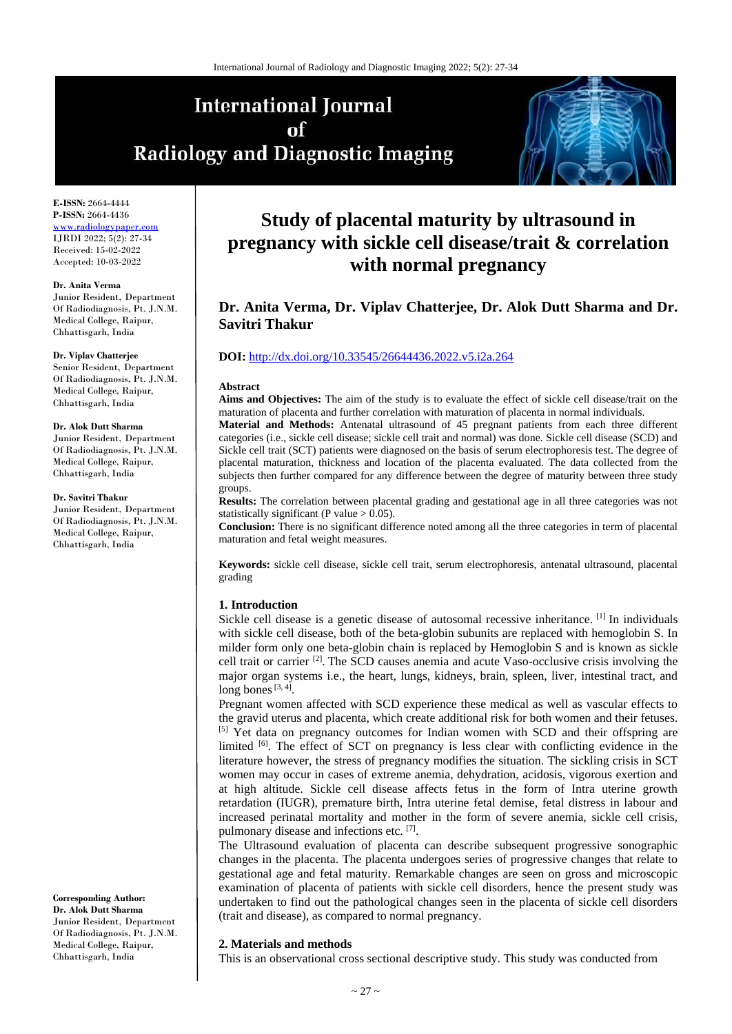# **International Journal** of **Radiology and Diagnostic Imaging**



**E-ISSN:** 2664-4444 **P-ISSN:** 2664-4436 ww.radiologypape IJRDI 2022; 5(2): 27-34 Received: 15-02-2022 Accepted: 10-03-2022

#### **Dr. Anita Verma**

Junior Resident, Department Of Radiodiagnosis, Pt. J.N.M. Medical College, Raipur, Chhattisgarh, India

#### **Dr. Viplav Chatterjee**

Senior Resident, Department Of Radiodiagnosis, Pt. J.N.M. Medical College, Raipur, Chhattisgarh, India

#### **Dr. Alok Dutt Sharma**

Junior Resident, Department Of Radiodiagnosis, Pt. J.N.M. Medical College, Raipur, Chhattisgarh, India

#### **Dr. Savitri Thakur**

Junior Resident, Department Of Radiodiagnosis, Pt. J.N.M. Medical College, Raipur, Chhattisgarh, India

**Corresponding Author: Dr. Alok Dutt Sharma** Junior Resident, Department

Of Radiodiagnosis, Pt. J.N.M. Medical College, Raipur, Chhattisgarh, India

# **Study of placental maturity by ultrasound in pregnancy with sickle cell disease/trait & correlation with normal pregnancy**

# **Dr. Anita Verma, Dr. Viplav Chatterjee, Dr. Alok Dutt Sharma and Dr. Savitri Thakur**

# **DOI:** <http://dx.doi.org/10.33545/26644436.2022.v5.i2a.264>

#### **Abstract**

**Aims and Objectives:** The aim of the study is to evaluate the effect of sickle cell disease/trait on the maturation of placenta and further correlation with maturation of placenta in normal individuals.

**Material and Methods:** Antenatal ultrasound of 45 pregnant patients from each three different categories (i.e., sickle cell disease; sickle cell trait and normal) was done. Sickle cell disease (SCD) and Sickle cell trait (SCT) patients were diagnosed on the basis of serum electrophoresis test. The degree of placental maturation, thickness and location of the placenta evaluated. The data collected from the subjects then further compared for any difference between the degree of maturity between three study groups.

**Results:** The correlation between placental grading and gestational age in all three categories was not statistically significant (P value  $> 0.05$ ).

**Conclusion:** There is no significant difference noted among all the three categories in term of placental maturation and fetal weight measures.

**Keywords:** sickle cell disease, sickle cell trait, serum electrophoresis, antenatal ultrasound, placental grading

#### **1. Introduction**

Sickle cell disease is a genetic disease of autosomal recessive inheritance. [1] In individuals with sickle cell disease, both of the beta-globin subunits are replaced with hemoglobin S. In milder form only one beta-globin chain is replaced by Hemoglobin S and is known as sickle cell trait or carrier [2] . The SCD causes anemia and acute Vaso-occlusive crisis involving the major organ systems i.e., the heart, lungs, kidneys, brain, spleen, liver, intestinal tract, and long bones  $[3, 4]$ .

Pregnant women affected with SCD experience these medical as well as vascular effects to the gravid uterus and placenta, which create additional risk for both women and their fetuses. <sup>[5]</sup> Yet data on pregnancy outcomes for Indian women with SCD and their offspring are limited [6]. The effect of SCT on pregnancy is less clear with conflicting evidence in the literature however, the stress of pregnancy modifies the situation. The sickling crisis in SCT women may occur in cases of extreme anemia, dehydration, acidosis, vigorous exertion and at high altitude. Sickle cell disease affects fetus in the form of Intra uterine growth retardation (IUGR), premature birth, Intra uterine fetal demise, fetal distress in labour and increased perinatal mortality and mother in the form of severe anemia, sickle cell crisis, pulmonary disease and infections etc. [7].

The Ultrasound evaluation of placenta can describe subsequent progressive sonographic changes in the placenta. The placenta undergoes series of progressive changes that relate to gestational age and fetal maturity. Remarkable changes are seen on gross and microscopic examination of placenta of patients with sickle cell disorders, hence the present study was undertaken to find out the pathological changes seen in the placenta of sickle cell disorders (trait and disease), as compared to normal pregnancy.

#### **2. Materials and methods**

This is an observational cross sectional descriptive study. This study was conducted from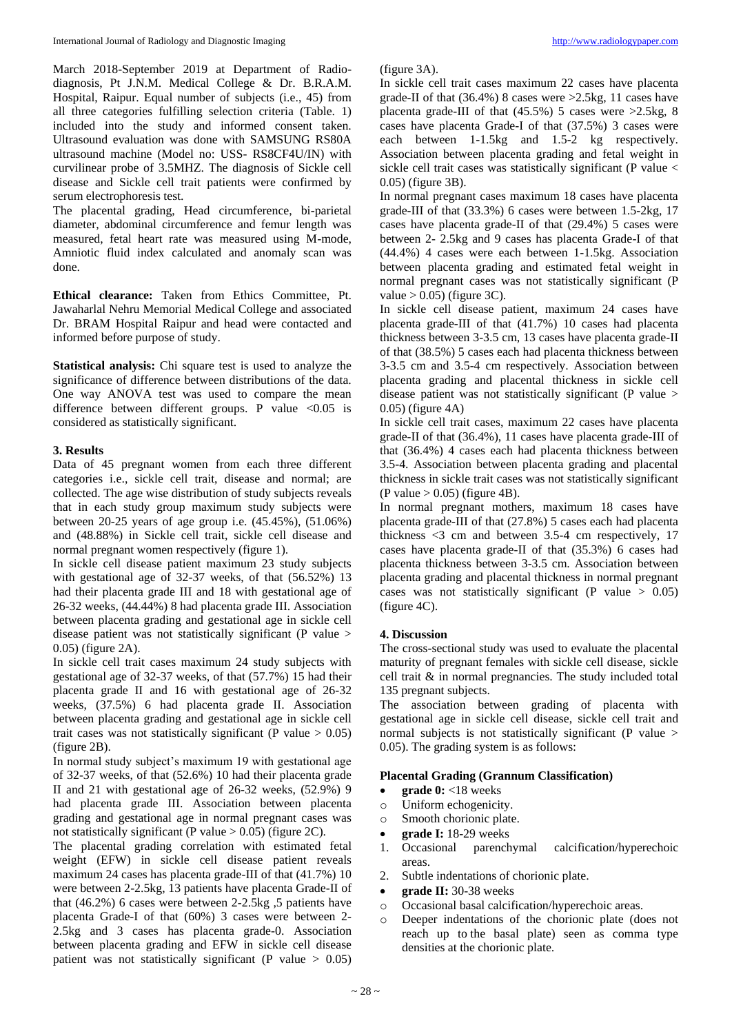March 2018-September 2019 at Department of Radiodiagnosis, Pt J.N.M. Medical College & Dr. B.R.A.M. Hospital, Raipur. Equal number of subjects (i.e., 45) from all three categories fulfilling selection criteria (Table. 1) included into the study and informed consent taken. Ultrasound evaluation was done with SAMSUNG RS80A ultrasound machine (Model no: USS- RS8CF4U/IN) with curvilinear probe of 3.5MHZ. The diagnosis of Sickle cell disease and Sickle cell trait patients were confirmed by serum electrophoresis test.

The placental grading, Head circumference, bi-parietal diameter, abdominal circumference and femur length was measured, fetal heart rate was measured using M-mode, Amniotic fluid index calculated and anomaly scan was done.

**Ethical clearance:** Taken from Ethics Committee, Pt. Jawaharlal Nehru Memorial Medical College and associated Dr. BRAM Hospital Raipur and head were contacted and informed before purpose of study.

**Statistical analysis:** Chi square test is used to analyze the significance of difference between distributions of the data. One way ANOVA test was used to compare the mean difference between different groups. P value <0.05 is considered as statistically significant.

### **3. Results**

Data of 45 pregnant women from each three different categories i.e., sickle cell trait, disease and normal; are collected. The age wise distribution of study subjects reveals that in each study group maximum study subjects were between 20-25 years of age group i.e. (45.45%), (51.06%) and (48.88%) in Sickle cell trait, sickle cell disease and normal pregnant women respectively (figure 1).

In sickle cell disease patient maximum 23 study subjects with gestational age of 32-37 weeks, of that (56.52%) 13 had their placenta grade III and 18 with gestational age of 26-32 weeks, (44.44%) 8 had placenta grade III. Association between placenta grading and gestational age in sickle cell disease patient was not statistically significant (P value > 0.05) (figure 2A).

In sickle cell trait cases maximum 24 study subjects with gestational age of 32-37 weeks, of that (57.7%) 15 had their placenta grade II and 16 with gestational age of 26-32 weeks, (37.5%) 6 had placenta grade II. Association between placenta grading and gestational age in sickle cell trait cases was not statistically significant (P value  $> 0.05$ ) (figure 2B).

In normal study subject's maximum 19 with gestational age of 32-37 weeks, of that (52.6%) 10 had their placenta grade II and 21 with gestational age of 26-32 weeks, (52.9%) 9 had placenta grade III. Association between placenta grading and gestational age in normal pregnant cases was not statistically significant (P value > 0.05) (figure 2C).

The placental grading correlation with estimated fetal weight (EFW) in sickle cell disease patient reveals maximum 24 cases has placenta grade-III of that (41.7%) 10 were between 2-2.5kg, 13 patients have placenta Grade-II of that (46.2%) 6 cases were between 2-2.5kg ,5 patients have placenta Grade-I of that (60%) 3 cases were between 2- 2.5kg and 3 cases has placenta grade-0. Association between placenta grading and EFW in sickle cell disease patient was not statistically significant (P value > 0.05)

(figure 3A).

In sickle cell trait cases maximum 22 cases have placenta grade-II of that (36.4%) 8 cases were >2.5kg, 11 cases have placenta grade-III of that (45.5%) 5 cases were >2.5kg, 8 cases have placenta Grade-I of that (37.5%) 3 cases were each between 1-1.5kg and 1.5-2 kg respectively. Association between placenta grading and fetal weight in sickle cell trait cases was statistically significant (P value < 0.05) (figure 3B).

In normal pregnant cases maximum 18 cases have placenta grade-III of that (33.3%) 6 cases were between 1.5-2kg, 17 cases have placenta grade-II of that (29.4%) 5 cases were between 2- 2.5kg and 9 cases has placenta Grade-I of that (44.4%) 4 cases were each between 1-1.5kg. Association between placenta grading and estimated fetal weight in normal pregnant cases was not statistically significant (P value  $> 0.05$ ) (figure 3C).

In sickle cell disease patient, maximum 24 cases have placenta grade-III of that (41.7%) 10 cases had placenta thickness between 3-3.5 cm, 13 cases have placenta grade-II of that (38.5%) 5 cases each had placenta thickness between 3-3.5 cm and 3.5-4 cm respectively. Association between placenta grading and placental thickness in sickle cell disease patient was not statistically significant (P value > 0.05) (figure 4A)

In sickle cell trait cases, maximum 22 cases have placenta grade-II of that (36.4%), 11 cases have placenta grade-III of that (36.4%) 4 cases each had placenta thickness between 3.5-4. Association between placenta grading and placental thickness in sickle trait cases was not statistically significant  $(P$  value  $> 0.05$ ) (figure 4B).

In normal pregnant mothers, maximum 18 cases have placenta grade-III of that (27.8%) 5 cases each had placenta thickness <3 cm and between 3.5-4 cm respectively, 17 cases have placenta grade-II of that (35.3%) 6 cases had placenta thickness between 3-3.5 cm. Association between placenta grading and placental thickness in normal pregnant cases was not statistically significant (P value  $> 0.05$ ) (figure 4C).

#### **4. Discussion**

The cross-sectional study was used to evaluate the placental maturity of pregnant females with sickle cell disease, sickle cell trait & in normal pregnancies. The study included total 135 pregnant subjects.

The association between grading of placenta with gestational age in sickle cell disease, sickle cell trait and normal subjects is not statistically significant (P value > 0.05). The grading system is as follows:

#### **Placental Grading (Grannum Classification)**

- **e** grade 0: <18 weeks
- o Uniform echogenicity.
- o Smooth chorionic plate.
- **grade I:** 18-29 weeks
- 1. Occasional parenchymal calcification/hyperechoic areas.
- 2. Subtle indentations of chorionic plate.
- **grade II:** 30-38 weeks
- o Occasional basal calcification/hyperechoic areas.
- Deeper indentations of the chorionic plate (does not reach up to the basal plate) seen as comma type densities at the chorionic plate.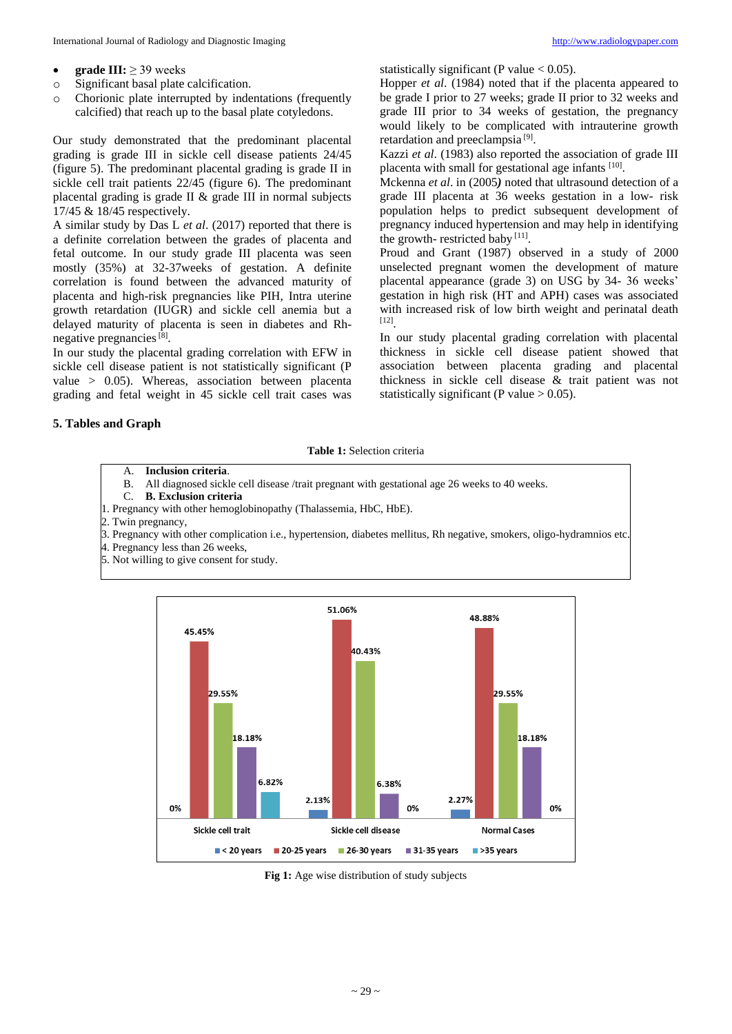- **e** grade  $III: > 39$  weeks
- o Significant basal plate calcification.
- o Chorionic plate interrupted by indentations (frequently calcified) that reach up to the basal plate cotyledons.

Our study demonstrated that the predominant placental grading is grade III in sickle cell disease patients 24/45 (figure 5). The predominant placental grading is grade II in sickle cell trait patients 22/45 (figure 6). The predominant placental grading is grade II & grade III in normal subjects 17/45 & 18/45 respectively.

A similar study by Das L *et al*. (2017) reported that there is a definite correlation between the grades of placenta and fetal outcome. In our study grade III placenta was seen mostly (35%) at 32-37weeks of gestation. A definite correlation is found between the advanced maturity of placenta and high-risk pregnancies like PIH, Intra uterine growth retardation (IUGR) and sickle cell anemia but a delayed maturity of placenta is seen in diabetes and Rhnegative pregnancies<sup>[8]</sup>.

In our study the placental grading correlation with EFW in sickle cell disease patient is not statistically significant (P value > 0.05). Whereas, association between placenta grading and fetal weight in 45 sickle cell trait cases was statistically significant (P value  $< 0.05$ ).

Hopper *et al*. (1984) noted that if the placenta appeared to be grade I prior to 27 weeks; grade II prior to 32 weeks and grade III prior to 34 weeks of gestation, the pregnancy would likely to be complicated with intrauterine growth retardation and preeclampsia<sup>[9]</sup>.

Kazzi *et al*. (1983) also reported the association of grade III placenta with small for gestational age infants [10].

Mckenna *et al*. in (2005*)* noted that ultrasound detection of a grade III placenta at 36 weeks gestation in a low- risk population helps to predict subsequent development of pregnancy induced hypertension and may help in identifying the growth- restricted baby [11].

Proud and Grant (1987) observed in a study of 2000 unselected pregnant women the development of mature placental appearance (grade 3) on USG by 34- 36 weeks' gestation in high risk (HT and APH) cases was associated with increased risk of low birth weight and perinatal death [12] .

In our study placental grading correlation with placental thickness in sickle cell disease patient showed that association between placenta grading and placental thickness in sickle cell disease & trait patient was not statistically significant (P value  $> 0.05$ ).

## **5. Tables and Graph**

**Table 1:** Selection criteria

- A. **Inclusion criteria**.
- All diagnosed sickle cell disease /trait pregnant with gestational age 26 weeks to 40 weeks.
- C. **B. Exclusion criteria**
- 1. Pregnancy with other hemoglobinopathy (Thalassemia, HbC, HbE).
- 2. Twin pregnancy,
- 3. Pregnancy with other complication i.e., hypertension, diabetes mellitus, Rh negative, smokers, oligo-hydramnios etc.
- 4. Pregnancy less than 26 weeks,
- 5. Not willing to give consent for study.



**Fig 1:** Age wise distribution of study subjects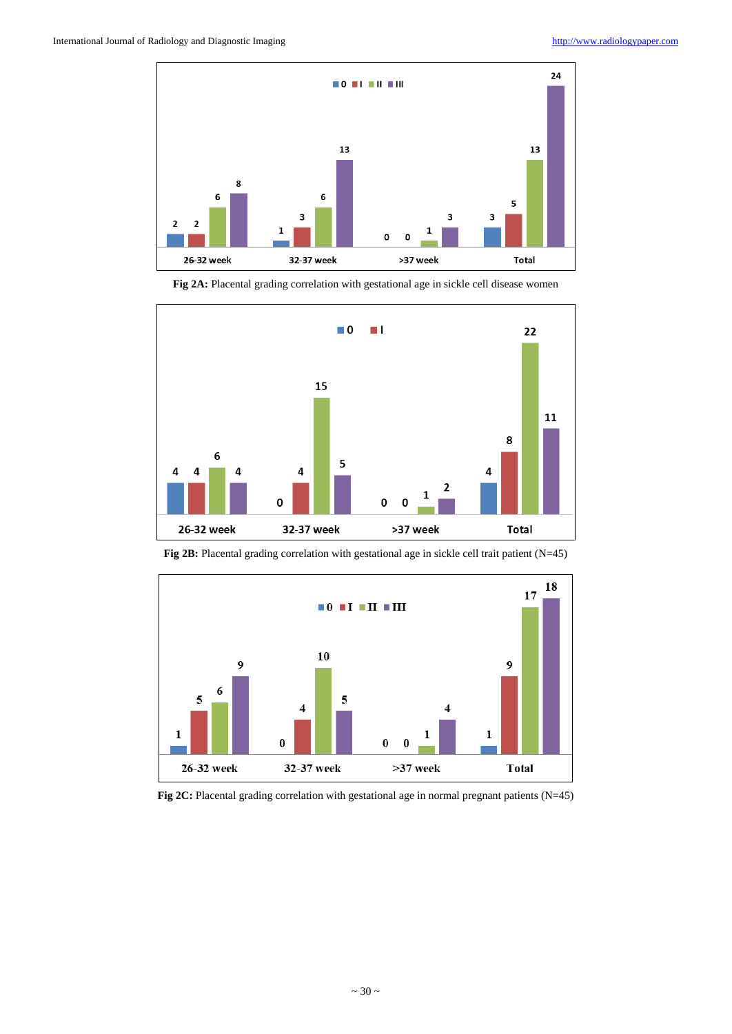

**Fig 2A:** Placental grading correlation with gestational age in sickle cell disease women





**Fig 2B:** Placental grading correlation with gestational age in sickle cell trait patient (N=45)

**Fig 2C:** Placental grading correlation with gestational age in normal pregnant patients (N=45)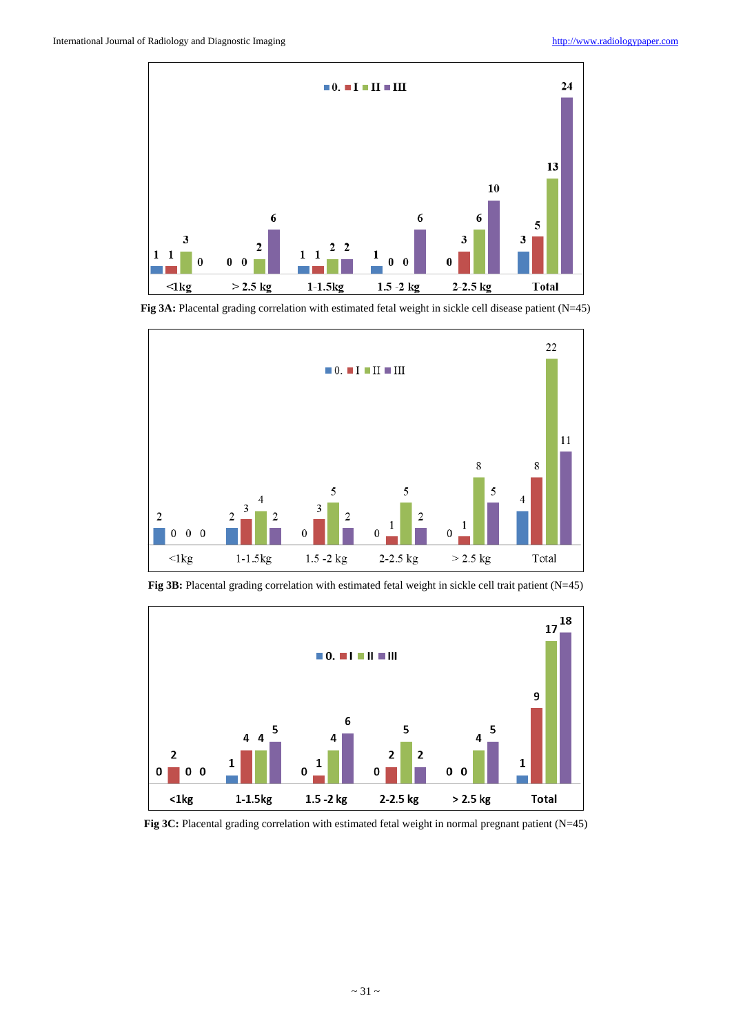

**Fig 3A:** Placental grading correlation with estimated fetal weight in sickle cell disease patient (N=45)





Fig 3B: Placental grading correlation with estimated fetal weight in sickle cell trait patient (N=45)

**Fig 3C:** Placental grading correlation with estimated fetal weight in normal pregnant patient (N=45)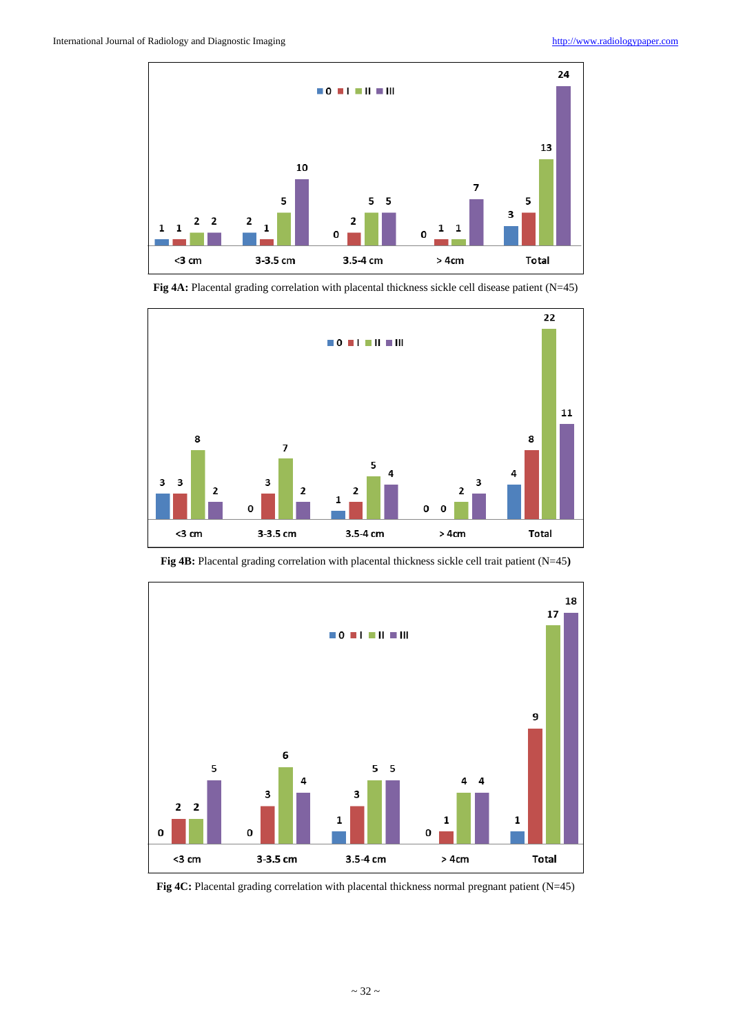

**Fig 4A:** Placental grading correlation with placental thickness sickle cell disease patient (N=45)





**Fig 4B:** Placental grading correlation with placental thickness sickle cell trait patient (N=45**)**

Fig 4C: Placental grading correlation with placental thickness normal pregnant patient (N=45)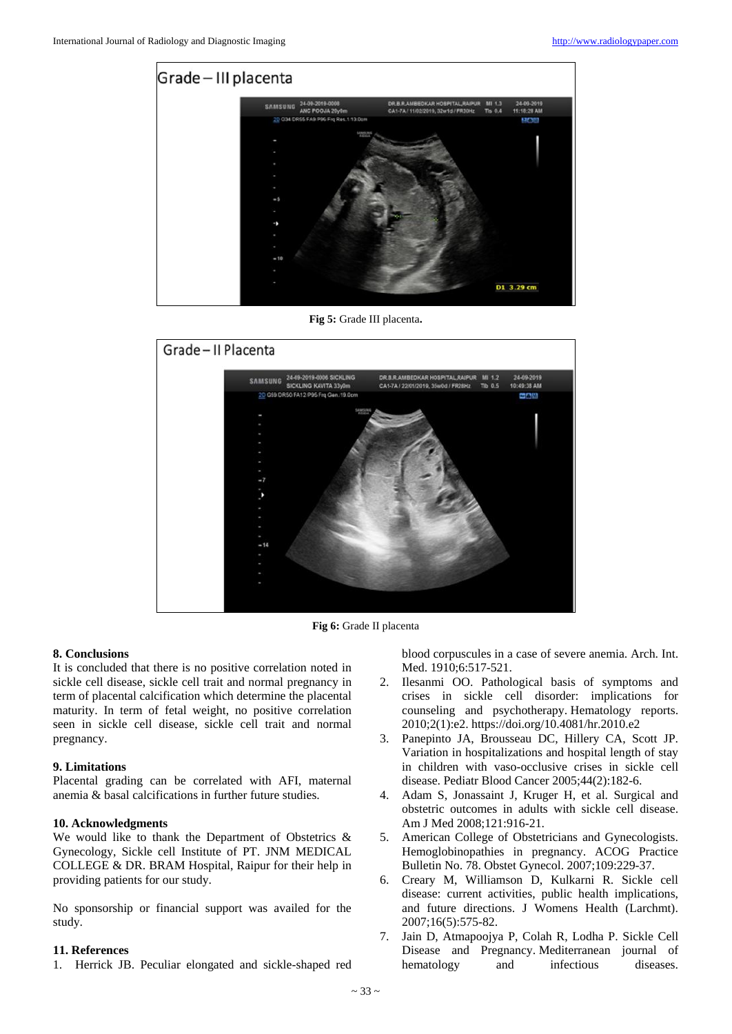

**Fig 5:** Grade III placenta**.**



**Fig 6:** Grade II placenta

#### **8. Conclusions**

It is concluded that there is no positive correlation noted in sickle cell disease, sickle cell trait and normal pregnancy in term of placental calcification which determine the placental maturity. In term of fetal weight, no positive correlation seen in sickle cell disease, sickle cell trait and normal pregnancy.

#### **9. Limitations**

Placental grading can be correlated with AFI, maternal anemia & basal calcifications in further future studies.

### **10. Acknowledgments**

We would like to thank the Department of Obstetrics & Gynecology, Sickle cell Institute of PT. JNM MEDICAL COLLEGE & DR. BRAM Hospital, Raipur for their help in providing patients for our study.

No sponsorship or financial support was availed for the study.

#### **11. References**

1. Herrick JB. Peculiar elongated and sickle-shaped red

blood corpuscules in a case of severe anemia. Arch. Int. Med. 1910;6:517-521.

- 2. Ilesanmi OO. Pathological basis of symptoms and crises in sickle cell disorder: implications for counseling and psychotherapy. Hematology reports. 2010;2(1):e2. https://doi.org/10.4081/hr.2010.e2
- 3. Panepinto JA, Brousseau DC, Hillery CA, Scott JP. Variation in hospitalizations and hospital length of stay in children with vaso-occlusive crises in sickle cell disease. Pediatr Blood Cancer 2005;44(2):182-6.
- 4. Adam S, Jonassaint J, Kruger H, et al. Surgical and obstetric outcomes in adults with sickle cell disease. Am J Med 2008;121:916-21.
- 5. American College of Obstetricians and Gynecologists. Hemoglobinopathies in pregnancy. ACOG Practice Bulletin No. 78. Obstet Gynecol. 2007;109:229-37.
- 6. Creary M, Williamson D, Kulkarni R. Sickle cell disease: current activities, public health implications, and future directions. J Womens Health (Larchmt). 2007;16(5):575-82.
- 7. Jain D, Atmapoojya P, Colah R, Lodha P. Sickle Cell Disease and Pregnancy. Mediterranean journal of hematology and infectious diseases.